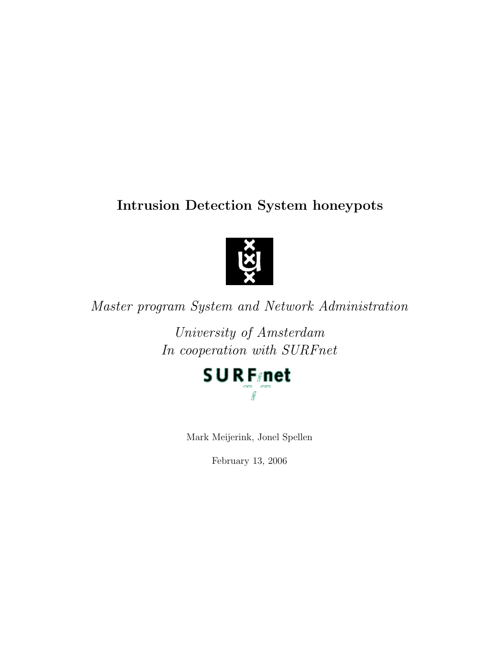# Intrusion Detection System honeypots



Master program System and Network Administration

University of Amsterdam In cooperation with SURFnet



Mark Meijerink, Jonel Spellen

February 13, 2006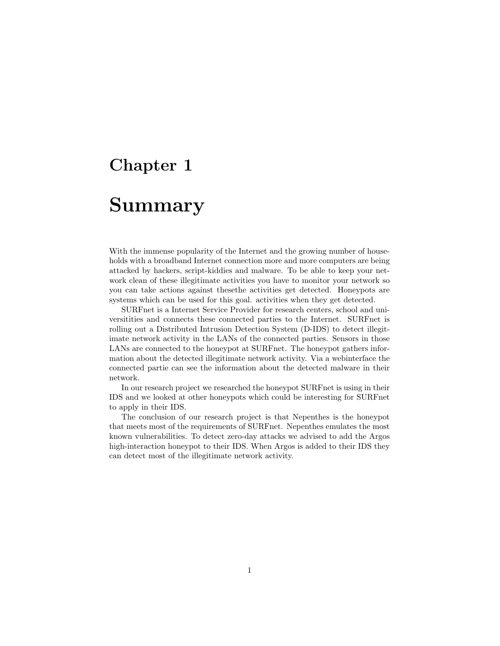# <span id="page-1-0"></span>Summary

With the immense popularity of the Internet and the growing number of households with a broadband Internet connection more and more computers are being attacked by hackers, script-kiddies and malware. To be able to keep your network clean of these illegitimate activities you have to monitor your network so you can take actions against thesethe activities get detected. Honeypots are systems which can be used for this goal. activities when they get detected.

SURFnet is a Internet Service Provider for research centers, school and universitities and connects these connected parties to the Internet. SURFnet is rolling out a Distributed Intrusion Detection System (D-IDS) to detect illegitimate network activity in the LANs of the connected parties. Sensors in those LANs are connected to the honeypot at SURFnet. The honeypot gathers information about the detected illegitimate network activity. Via a webinterface the connected partie can see the information about the detected malware in their network.

In our research project we researched the honeypot SURFnet is using in their IDS and we looked at other honeypots which could be interesting for SURFnet to apply in their IDS.

The conclusion of our research project is that Nepenthes is the honeypot that meets most of the requirements of SURFnet. Nepenthes emulates the most known vulnerabilities. To detect zero-day attacks we advised to add the Argos high-interaction honeypot to their IDS. When Argos is added to their IDS they can detect most of the illegitimate network activity.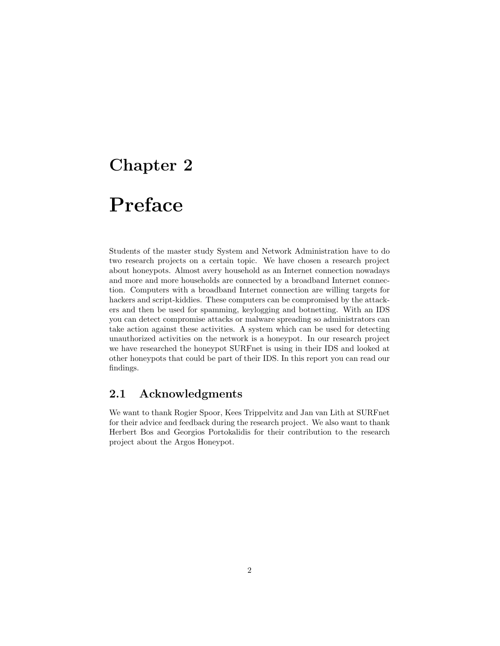# <span id="page-2-0"></span>Preface

Students of the master study System and Network Administration have to do two research projects on a certain topic. We have chosen a research project about honeypots. Almost avery household as an Internet connection nowadays and more and more households are connected by a broadband Internet connection. Computers with a broadband Internet connection are willing targets for hackers and script-kiddies. These computers can be compromised by the attackers and then be used for spamming, keylogging and botnetting. With an IDS you can detect compromise attacks or malware spreading so administrators can take action against these activities. A system which can be used for detecting unauthorized activities on the network is a honeypot. In our research project we have researched the honeypot SURFnet is using in their IDS and looked at other honeypots that could be part of their IDS. In this report you can read our findings.

## <span id="page-2-1"></span>2.1 Acknowledgments

We want to thank Rogier Spoor, Kees Trippelvitz and Jan van Lith at SURFnet for their advice and feedback during the research project. We also want to thank Herbert Bos and Georgios Portokalidis for their contribution to the research project about the Argos Honeypot.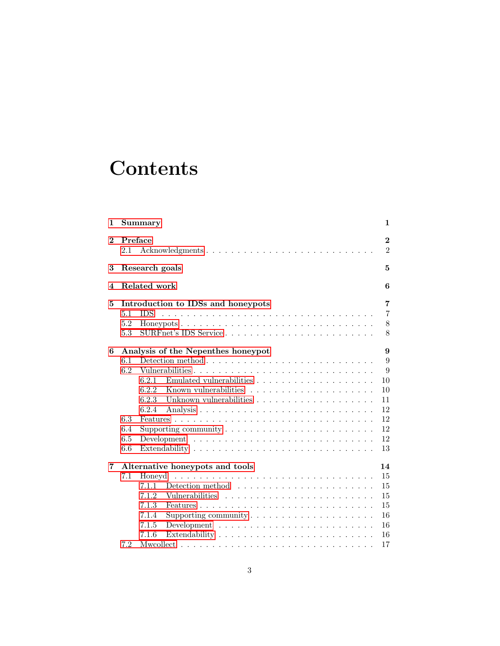# **Contents**

| 1            | <b>Summary</b><br>1                                                                                                                                                                                                                                                                                                                     |                                                             |  |  |  |
|--------------|-----------------------------------------------------------------------------------------------------------------------------------------------------------------------------------------------------------------------------------------------------------------------------------------------------------------------------------------|-------------------------------------------------------------|--|--|--|
| $\mathbf{2}$ | Preface<br>$\overline{2}$<br>Acknowledgments<br>$\overline{2}$<br>2.1                                                                                                                                                                                                                                                                   |                                                             |  |  |  |
| 3            | Research goals<br>5                                                                                                                                                                                                                                                                                                                     |                                                             |  |  |  |
| 4            | Related work<br>6                                                                                                                                                                                                                                                                                                                       |                                                             |  |  |  |
| 5            | Introduction to IDSs and honeypots<br>5.1<br><b>IDS</b><br>5.2<br>SURFnet's IDS Service<br>5.3                                                                                                                                                                                                                                          | 7<br>$\overline{7}$<br>$8\,$<br>8                           |  |  |  |
| 6            | Analysis of the Nepenthes honeypot<br>6.1<br>6.2<br>Vulnerabilities<br>Emulated vulnerabilities $\ldots \ldots \ldots \ldots \ldots \ldots \ldots$<br>6.2.1<br>6.2.2<br>6.2.3<br>6.2.4<br>6.3<br>6.4<br>Supporting community $\dots \dots \dots \dots \dots \dots \dots \dots \dots$<br>6.5<br>6.6                                      | 9<br>9<br>9<br>10<br>10<br>11<br>12<br>12<br>12<br>12<br>13 |  |  |  |
| 7            | Alternative honeypots and tools<br>7.1<br>Honeyd<br>7.1.1<br>Detection method $\dots \dots \dots \dots \dots \dots \dots \dots$<br>7.1.2<br>7.1.3<br>7.1.4<br>Supporting community $\dots \dots \dots \dots \dots \dots \dots$<br>7.1.5<br>Development $\ldots \ldots \ldots \ldots \ldots \ldots \ldots \ldots \ldots$<br>7.1.6<br>7.2 | 14<br>15<br>15<br>15<br>15<br>16<br>16<br>16<br>17          |  |  |  |
|              |                                                                                                                                                                                                                                                                                                                                         |                                                             |  |  |  |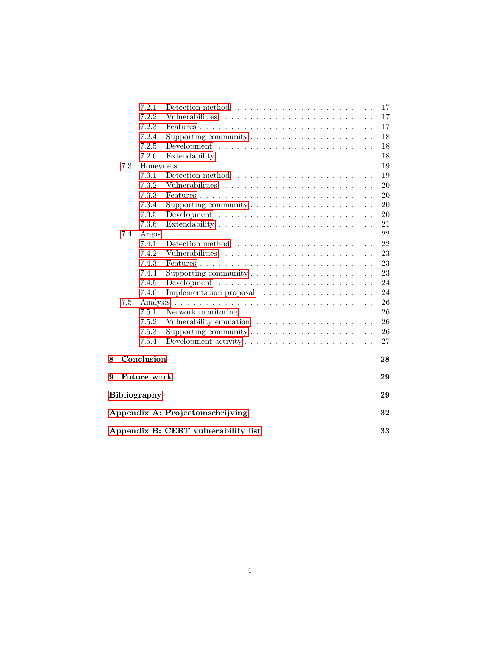|                                           |                                       | 7.2.1              | Detection method $\ldots \ldots \ldots \ldots \ldots \ldots \ldots$          | 17     |  |
|-------------------------------------------|---------------------------------------|--------------------|------------------------------------------------------------------------------|--------|--|
|                                           |                                       | 7.2.2              | Vulnerabilities                                                              | 17     |  |
|                                           |                                       | 7.2.3              |                                                                              | 17     |  |
|                                           |                                       | 7.2.4              | Supporting community $\dots \dots \dots \dots \dots \dots \dots$             | 18     |  |
|                                           |                                       | 7.2.5              | Development $\ldots \ldots \ldots \ldots \ldots \ldots \ldots \ldots \ldots$ | 18     |  |
|                                           |                                       | 7.2.6              |                                                                              | 18     |  |
|                                           | 7.3                                   |                    |                                                                              | 19     |  |
|                                           |                                       | 7.3.1              |                                                                              | 19     |  |
|                                           |                                       | 7.3.2              |                                                                              | 20     |  |
|                                           |                                       | 7.3.3              |                                                                              | 20     |  |
|                                           |                                       | 7.3.4              | Supporting community $\dots \dots \dots \dots \dots \dots \dots$             | 20     |  |
|                                           |                                       | 7.3.5              |                                                                              | $20\,$ |  |
|                                           |                                       | 7.3.6              |                                                                              | 21     |  |
|                                           | 7.4                                   | Argos              |                                                                              | 22     |  |
|                                           |                                       | 7.4.1              |                                                                              | 22     |  |
|                                           |                                       | 7.4.2              |                                                                              | 23     |  |
|                                           |                                       | 7.4.3              |                                                                              | 23     |  |
|                                           |                                       | 7.4.4              | Supporting community $\dots \dots \dots \dots \dots \dots \dots$             | 23     |  |
|                                           |                                       | 7.4.5              |                                                                              | 24     |  |
|                                           |                                       | 7.4.6              | Implementation proposal                                                      | 24     |  |
|                                           | $7.5\,$                               |                    |                                                                              | 26     |  |
|                                           |                                       | 7.5.1              |                                                                              | 26     |  |
|                                           |                                       | 7.5.2              |                                                                              | 26     |  |
|                                           |                                       | 7.5.3              | Supporting community $\dots \dots \dots \dots \dots \dots \dots$             | 26     |  |
|                                           |                                       | 7.5.4              |                                                                              | 27     |  |
| 8                                         | Conclusion<br>28                      |                    |                                                                              |        |  |
| 9                                         |                                       | <b>Future work</b> |                                                                              | 29     |  |
| <b>Bibliography</b><br>29                 |                                       |                    |                                                                              |        |  |
|                                           |                                       |                    |                                                                              |        |  |
|                                           | Appendix A: Projectomschrijving<br>32 |                    |                                                                              |        |  |
| Appendix B: CERT vulnerability list<br>33 |                                       |                    |                                                                              |        |  |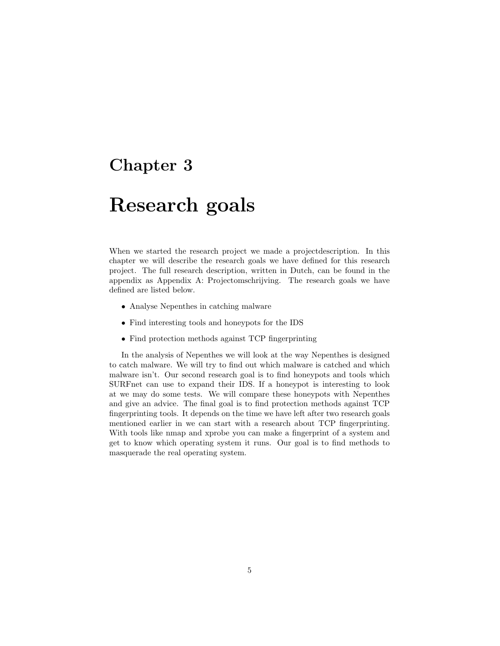# <span id="page-5-0"></span>Research goals

When we started the research project we made a projectdescription. In this chapter we will describe the research goals we have defined for this research project. The full research description, written in Dutch, can be found in the appendix as Appendix A: Projectomschrijving. The research goals we have defined are listed below.

- Analyse Nepenthes in catching malware
- Find interesting tools and honeypots for the IDS
- Find protection methods against TCP fingerprinting

In the analysis of Nepenthes we will look at the way Nepenthes is designed to catch malware. We will try to find out which malware is catched and which malware isn't. Our second research goal is to find honeypots and tools which SURFnet can use to expand their IDS. If a honeypot is interesting to look at we may do some tests. We will compare these honeypots with Nepenthes and give an advice. The final goal is to find protection methods against TCP fingerprinting tools. It depends on the time we have left after two research goals mentioned earlier in we can start with a research about TCP fingerprinting. With tools like nmap and xprobe you can make a fingerprint of a system and get to know which operating system it runs. Our goal is to find methods to masquerade the real operating system.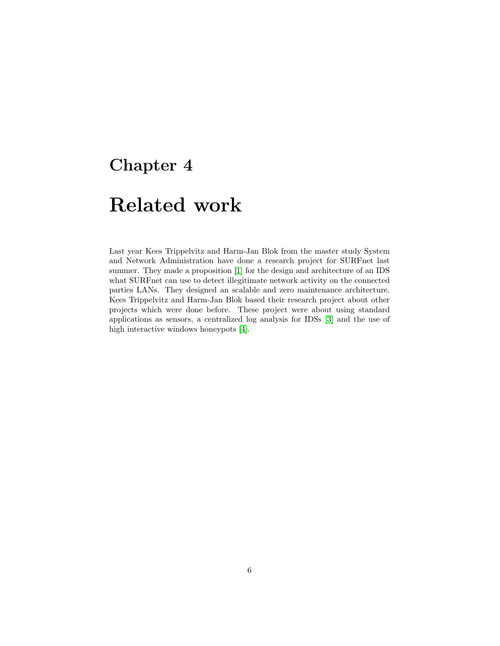# <span id="page-6-0"></span>Related work

Last year Kees Trippelvitz and Harm-Jan Blok from the master study System and Network Administration have done a research project for SURFnet last summer. They made a proposition [\[1\]](#page-30-0) for the design and architecture of an IDS what SURFnet can use to detect illegitimate network activity on the connected parties LANs. They designed an scalable and zero maintenance architecture. Kees Trippelvitz and Harm-Jan Blok based their research project about other projects which were done before. These project were about using standard applications as sensors, a centralized log analysis for IDSs [\[3\]](#page-30-1) and the use of high interactive windows honeypots [\[4\]](#page-30-2).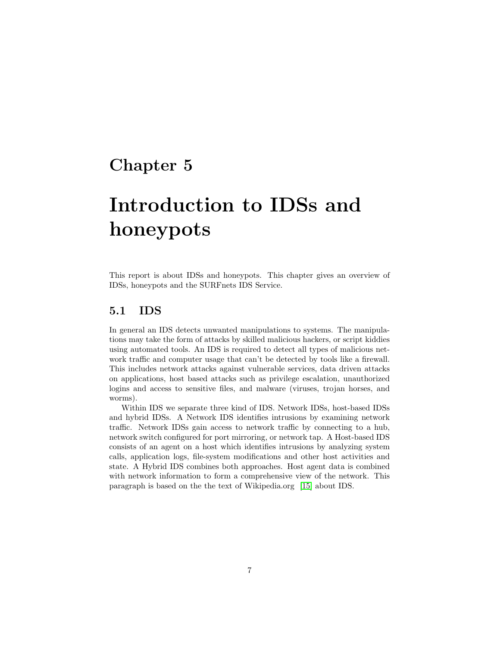# <span id="page-7-0"></span>Introduction to IDSs and honeypots

This report is about IDSs and honeypots. This chapter gives an overview of IDSs, honeypots and the SURFnets IDS Service.

### <span id="page-7-1"></span>5.1 IDS

In general an IDS detects unwanted manipulations to systems. The manipulations may take the form of attacks by skilled malicious hackers, or script kiddies using automated tools. An IDS is required to detect all types of malicious network traffic and computer usage that can't be detected by tools like a firewall. This includes network attacks against vulnerable services, data driven attacks on applications, host based attacks such as privilege escalation, unauthorized logins and access to sensitive files, and malware (viruses, trojan horses, and worms).

Within IDS we separate three kind of IDS. Network IDSs, host-based IDSs and hybrid IDSs. A Network IDS identifies intrusions by examining network traffic. Network IDSs gain access to network traffic by connecting to a hub, network switch configured for port mirroring, or network tap. A Host-based IDS consists of an agent on a host which identifies intrusions by analyzing system calls, application logs, file-system modifications and other host activities and state. A Hybrid IDS combines both approaches. Host agent data is combined with network information to form a comprehensive view of the network. This paragraph is based on the the text of Wikipedia.org [\[15\]](#page-30-3) about IDS.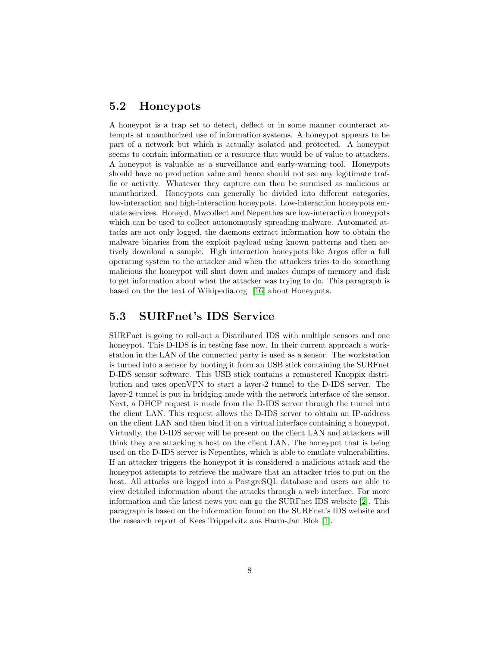### <span id="page-8-0"></span>5.2 Honeypots

A honeypot is a trap set to detect, deflect or in some manner counteract attempts at unauthorized use of information systems. A honeypot appears to be part of a network but which is actually isolated and protected. A honeypot seems to contain information or a resource that would be of value to attackers. A honeypot is valuable as a surveillance and early-warning tool. Honeypots should have no production value and hence should not see any legitimate traffic or activity. Whatever they capture can then be surmised as malicious or unauthorized. Honeypots can generally be divided into different categories, low-interaction and high-interaction honeypots. Low-interaction honeypots emulate services. Honeyd, Mwcollect and Nepenthes are low-interaction honeypots which can be used to collect autonomously spreading malware. Automated attacks are not only logged, the daemons extract information how to obtain the malware binaries from the exploit payload using known patterns and then actively download a sample. High interaction honeypots like Argos offer a full operating system to the attacker and when the attackers tries to do something malicious the honeypot will shut down and makes dumps of memory and disk to get information about what the attacker was trying to do. This paragraph is based on the the text of Wikipedia.org [\[16\]](#page-30-4) about Honeypots.

### <span id="page-8-1"></span>5.3 SURFnet's IDS Service

SURFnet is going to roll-out a Distributed IDS with multiple sensors and one honeypot. This D-IDS is in testing fase now. In their current approach a workstation in the LAN of the connected party is used as a sensor. The workstation is turned into a sensor by booting it from an USB stick containing the SURFnet D-IDS sensor software. This USB stick contains a remastered Knoppix distribution and uses openVPN to start a layer-2 tunnel to the D-IDS server. The layer-2 tunnel is put in bridging mode with the network interface of the sensor. Next, a DHCP request is made from the D-IDS server through the tunnel into the client LAN. This request allows the D-IDS server to obtain an IP-address on the client LAN and then bind it on a virtual interface containing a honeypot. Virtually, the D-IDS server will be present on the client LAN and attackers will think they are attacking a host on the client LAN. The honeypot that is being used on the D-IDS server is Nepenthes, which is able to emulate vulnerabilities. If an attacker triggers the honeypot it is considered a malicious attack and the honeypot attempts to retrieve the malware that an attacker tries to put on the host. All attacks are logged into a PostgreSQL database and users are able to view detailed information about the attacks through a web interface. For more information and the latest news you can go the SURFnet IDS website [\[2\]](#page-30-5). This paragraph is based on the information found on the SURFnet's IDS website and the research report of Kees Trippelvitz ans Harm-Jan Blok [\[1\]](#page-30-0).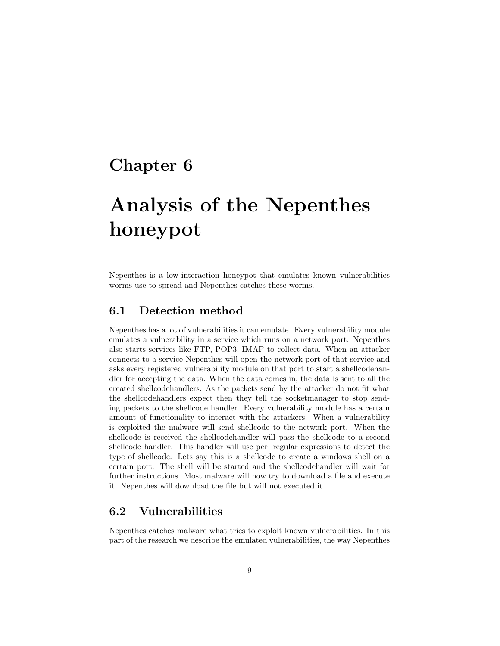# <span id="page-9-0"></span>Analysis of the Nepenthes honeypot

Nepenthes is a low-interaction honeypot that emulates known vulnerabilities worms use to spread and Nepenthes catches these worms.

### <span id="page-9-1"></span>6.1 Detection method

Nepenthes has a lot of vulnerabilities it can emulate. Every vulnerability module emulates a vulnerability in a service which runs on a network port. Nepenthes also starts services like FTP, POP3, IMAP to collect data. When an attacker connects to a service Nepenthes will open the network port of that service and asks every registered vulnerability module on that port to start a shellcodehandler for accepting the data. When the data comes in, the data is sent to all the created shellcodehandlers. As the packets send by the attacker do not fit what the shellcodehandlers expect then they tell the socketmanager to stop sending packets to the shellcode handler. Every vulnerability module has a certain amount of functionality to interact with the attackers. When a vulnerability is exploited the malware will send shellcode to the network port. When the shellcode is received the shellcodehandler will pass the shellcode to a second shellcode handler. This handler will use perl regular expressions to detect the type of shellcode. Lets say this is a shellcode to create a windows shell on a certain port. The shell will be started and the shellcodehandler will wait for further instructions. Most malware will now try to download a file and execute it. Nepenthes will download the file but will not executed it.

## <span id="page-9-2"></span>6.2 Vulnerabilities

Nepenthes catches malware what tries to exploit known vulnerabilities. In this part of the research we describe the emulated vulnerabilities, the way Nepenthes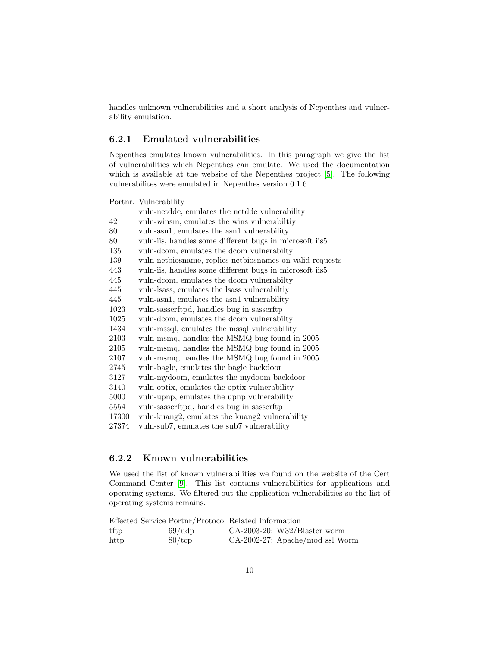handles unknown vulnerabilities and a short analysis of Nepenthes and vulnerability emulation.

#### <span id="page-10-0"></span>6.2.1 Emulated vulnerabilities

Nepenthes emulates known vulnerabilities. In this paragraph we give the list of vulnerabilities which Nepenthes can emulate. We used the documentation which is available at the website of the Nepenthes project [\[5\]](#page-30-6). The following vulnerabilites were emulated in Nepenthes version 0.1.6.

Portnr. Vulnerability

|          | vuln-netdde, emulates the netdde vulnerability           |
|----------|----------------------------------------------------------|
| 42       | vuln-winsm, emulates the wins vulnerabiltiy              |
| 80       | vuln-asn1, emulates the asn1 vulnerability               |
| 80       | vuln-iis, handles some different bugs in microsoft iis5  |
| 135      | vuln-dcom, emulates the dcom vulnerabilty                |
| 139      | vuln-netbiosname, replies netbiosnames on valid requests |
| 443      | vuln-iis, handles some different bugs in microsoft iis5  |
| 445      | vuln-dcom, emulates the dcom vulnerabilty                |
| 445      | vuln-lsass, emulates the lsass vulnerabiltiy             |
| 445      | vuln-asn1, emulates the asn1 vulnerability               |
| 1023     | vuln-sasserftpd, handles bug in sasserftp                |
| 1025     | vuln-dcom, emulates the dcom vulnerabilty                |
| 1434     | vuln-mssql, emulates the mssql vulnerability             |
| 2103     | vuln-msmq, handles the MSMQ bug found in 2005            |
| 2105     | vuln-msmq, handles the MSMQ bug found in 2005            |
| 2107     | vuln-msmq, handles the MSMQ bug found in 2005            |
| 2745     | vuln-bagle, emulates the bagle backdoor                  |
| 3127     | vuln-mydoom, emulates the mydoom backdoor                |
| 3140     | vuln-optix, emulates the optix vulnerability             |
| $5000\,$ | vuln-upnp, emulates the upnp vulnerability               |
| 5554     | vuln-sasserftpd, handles bug in sasserftp                |
| 17300    | vuln-kuang2, emulates the kuang2 vulnerability           |
| 27374    | vuln-sub7, emulates the sub7 vulnerability               |
|          |                                                          |

#### <span id="page-10-1"></span>6.2.2 Known vulnerabilities

We used the list of known vulnerabilities we found on the website of the Cert Command Center [\[9\]](#page-30-7). This list contains vulnerabilities for applications and operating systems. We filtered out the application vulnerabilities so the list of operating systems remains.

Effected Service Portnr/Protocol Related Information

| tftp | $69/\text{udp}$ | $CA-2003-20$ : W32/Blaster worm |
|------|-----------------|---------------------------------|
| http | $80/\text{tcp}$ | CA-2002-27: Apache/mod_ssl Worm |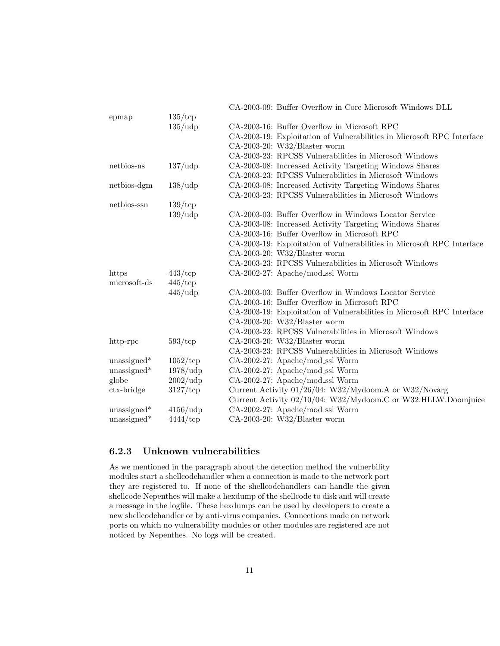| CA-2003-16: Buffer Overflow in Microsoft RPC                                                                                                                                                                                                                                                                                 |
|------------------------------------------------------------------------------------------------------------------------------------------------------------------------------------------------------------------------------------------------------------------------------------------------------------------------------|
| CA-2003-19: Exploitation of Vulnerabilities in Microsoft RPC Interface                                                                                                                                                                                                                                                       |
| $CA-2003-20$ : W32/Blaster worm                                                                                                                                                                                                                                                                                              |
| CA-2003-23: RPCSS Vulnerabilities in Microsoft Windows                                                                                                                                                                                                                                                                       |
| CA-2003-08: Increased Activity Targeting Windows Shares                                                                                                                                                                                                                                                                      |
| CA-2003-23: RPCSS Vulnerabilities in Microsoft Windows                                                                                                                                                                                                                                                                       |
| CA-2003-08: Increased Activity Targeting Windows Shares                                                                                                                                                                                                                                                                      |
| CA-2003-23: RPCSS Vulnerabilities in Microsoft Windows                                                                                                                                                                                                                                                                       |
|                                                                                                                                                                                                                                                                                                                              |
| CA-2003-03: Buffer Overflow in Windows Locator Service                                                                                                                                                                                                                                                                       |
| CA-2003-08: Increased Activity Targeting Windows Shares                                                                                                                                                                                                                                                                      |
| CA-2003-16: Buffer Overflow in Microsoft RPC                                                                                                                                                                                                                                                                                 |
| CA-2003-19: Exploitation of Vulnerabilities in Microsoft RPC Interface                                                                                                                                                                                                                                                       |
| $CA-2003-20$ : W32/Blaster worm                                                                                                                                                                                                                                                                                              |
| CA-2003-23: RPCSS Vulnerabilities in Microsoft Windows                                                                                                                                                                                                                                                                       |
| CA-2002-27: Apache/mod_ssl Worm                                                                                                                                                                                                                                                                                              |
|                                                                                                                                                                                                                                                                                                                              |
| CA-2003-03: Buffer Overflow in Windows Locator Service                                                                                                                                                                                                                                                                       |
| CA-2003-16: Buffer Overflow in Microsoft RPC                                                                                                                                                                                                                                                                                 |
| CA-2003-19: Exploitation of Vulnerabilities in Microsoft RPC Interface                                                                                                                                                                                                                                                       |
| CA-2003-20: W32/Blaster worm                                                                                                                                                                                                                                                                                                 |
| CA-2003-23: RPCSS Vulnerabilities in Microsoft Windows                                                                                                                                                                                                                                                                       |
| $CA-2003-20$ : W32/Blaster worm                                                                                                                                                                                                                                                                                              |
| CA-2003-23: RPCSS Vulnerabilities in Microsoft Windows                                                                                                                                                                                                                                                                       |
| CA-2002-27: Apache/mod_ssl Worm                                                                                                                                                                                                                                                                                              |
| CA-2002-27: Apache/mod_ssl Worm                                                                                                                                                                                                                                                                                              |
| CA-2002-27: Apache/mod_ssl Worm                                                                                                                                                                                                                                                                                              |
| Current Activity 01/26/04: W32/Mydoom.A or W32/Novarg                                                                                                                                                                                                                                                                        |
| Current Activity 02/10/04: W32/Mydoom.C or W32.HLLW.Doomjuice                                                                                                                                                                                                                                                                |
| CA-2002-27: Apache/mod_ssl Worm                                                                                                                                                                                                                                                                                              |
| $CA-2003-20$ : W32/Blaster worm                                                                                                                                                                                                                                                                                              |
| $135/\text{tcp}$<br>$135/\text{udp}$<br>$137/\text{udp}$<br>$138/\text{udp}$<br>$139/\text{tcp}$<br>$139/\text{udp}$<br>$443/\text{tcp}$<br>$445/\text{tcp}$<br>$445/\text{udp}$<br>$593/\text{tcp}$<br>$1052/\text{tcp}$<br>$1978/\text{udp}$<br>$2002/\text{udp}$<br>$3127/\text{tcp}$<br>$4156/\text{udp}$<br>$4444$ /tcp |

#### <span id="page-11-0"></span>6.2.3 Unknown vulnerabilities

As we mentioned in the paragraph about the detection method the vulnerbility modules start a shellcodehandler when a connection is made to the network port they are registered to. If none of the shellcodehandlers can handle the given shellcode Nepenthes will make a hexdump of the shellcode to disk and will create a message in the logfile. These hexdumps can be used by developers to create a new shellcodehandler or by anti-virus companies. Connections made on network ports on which no vulnerability modules or other modules are registered are not noticed by Nepenthes. No logs will be created.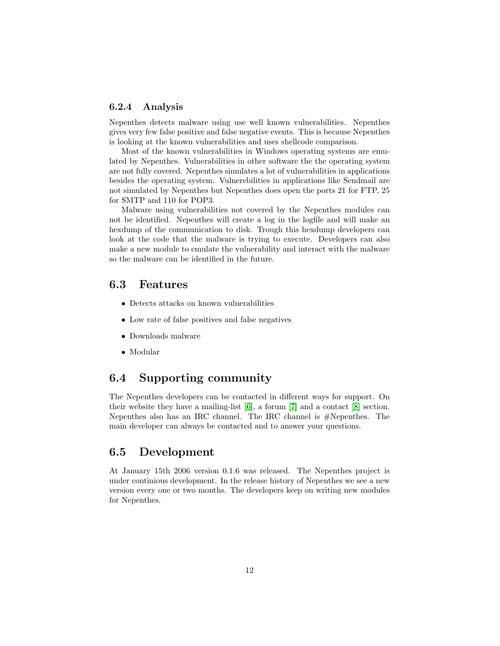#### <span id="page-12-0"></span>6.2.4 Analysis

Nepenthes detects malware using use well known vulnerabilities. Nepenthes gives very few false positive and false negative events. This is because Nepenthes is looking at the known vulnerabilities and uses shellcode comparison.

Most of the known vulnerabilities in Windows operating systems are emulated by Nepenthes. Vulnerabilities in other software the the operating system are not fully covered. Nepenthes simulates a lot of vulnerabilities in applications besides the operating system. Vulnerebilities in applications like Sendmail are not simulated by Nepenthes but Nepenthes does open the ports 21 for FTP, 25 for SMTP and 110 for POP3.

Malware using vulnerabilities not covered by the Nepenthes modules can not be identified. Nepenthes will create a log in the logfile and will make an hexdump of the communication to disk. Trough this hexdump developers can look at the code that the malware is trying to execute. Developers can also make a new module to emulate the vulnerability and interact with the malware so the malware can be identified in the future.

## <span id="page-12-1"></span>6.3 Features

- Detects attacks on known vulnerabilities
- Low rate of false positives and false negatives
- Downloads malware
- Modular

### <span id="page-12-2"></span>6.4 Supporting community

The Nepenthes developers can be contacted in different ways for support. On their website they have a mailing-list [\[6\]](#page-30-8), a forum [\[7\]](#page-30-9) and a contact [\[8\]](#page-30-10) section. Nepenthes also has an IRC channel. The IRC channel is #Nepenthes. The main developer can always be contacted and to answer your questions.

### <span id="page-12-3"></span>6.5 Development

At January 15th 2006 version 0.1.6 was released. The Nepenthes project is under continious development. In the release history of Nepenthes we see a new version every one or two months. The developers keep on writing new modules for Nepenthes.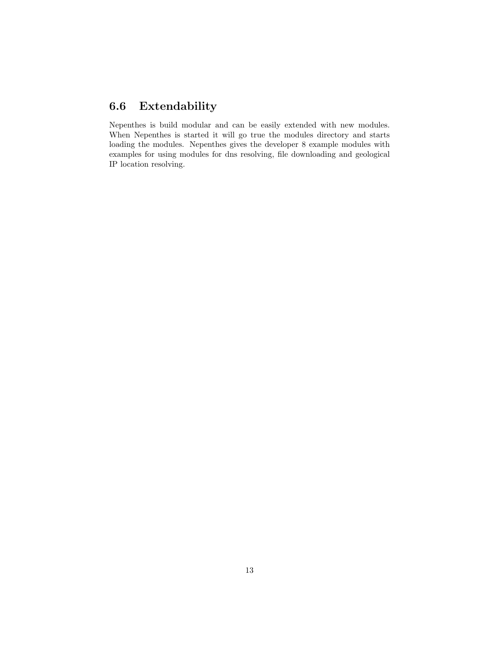## <span id="page-13-0"></span>6.6 Extendability

Nepenthes is build modular and can be easily extended with new modules. When Nepenthes is started it will go true the modules directory and starts loading the modules. Nepenthes gives the developer 8 example modules with examples for using modules for dns resolving, file downloading and geological IP location resolving.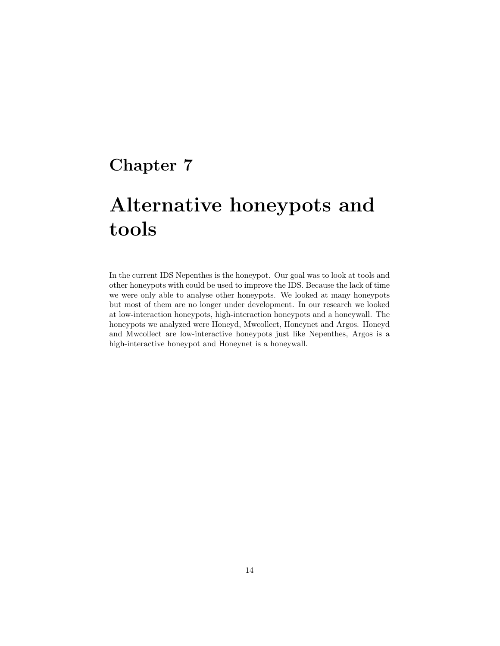# <span id="page-14-0"></span>Alternative honeypots and tools

In the current IDS Nepenthes is the honeypot. Our goal was to look at tools and other honeypots with could be used to improve the IDS. Because the lack of time we were only able to analyse other honeypots. We looked at many honeypots but most of them are no longer under development. In our research we looked at low-interaction honeypots, high-interaction honeypots and a honeywall. The honeypots we analyzed were Honeyd, Mwcollect, Honeynet and Argos. Honeyd and Mwcollect are low-interactive honeypots just like Nepenthes, Argos is a high-interactive honeypot and Honeynet is a honeywall.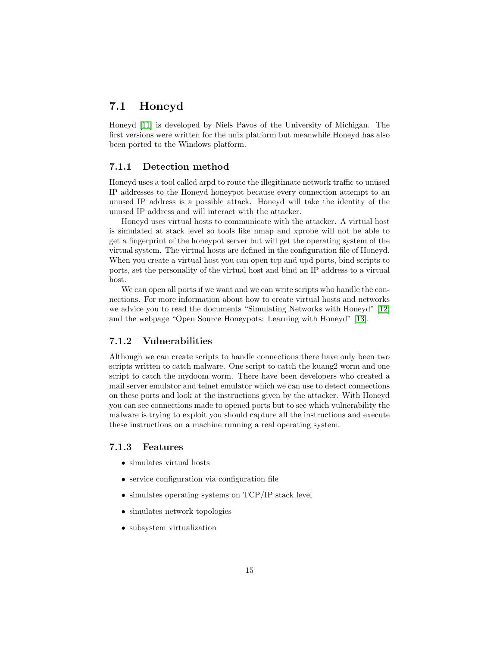### <span id="page-15-0"></span>7.1 Honeyd

Honeyd [\[11\]](#page-30-11) is developed by Niels Pavos of the University of Michigan. The first versions were written for the unix platform but meanwhile Honeyd has also been ported to the Windows platform.

#### <span id="page-15-1"></span>7.1.1 Detection method

Honeyd uses a tool called arpd to route the illegitimate network traffic to unused IP addresses to the Honeyd honeypot because every connection attempt to an unused IP address is a possible attack. Honeyd will take the identity of the unused IP address and will interact with the attacker.

Honeyd uses virtual hosts to communicate with the attacker. A virtual host is simulated at stack level so tools like nmap and xprobe will not be able to get a fingerprint of the honeypot server but will get the operating system of the virtual system. The virtual hosts are defined in the configuration file of Honeyd. When you create a virtual host you can open tcp and upd ports, bind scripts to ports, set the personality of the virtual host and bind an IP address to a virtual host.

We can open all ports if we want and we can write scripts who handle the connections. For more information about how to create virtual hosts and networks we advice you to read the documents "Simulating Networks with Honeyd" [\[12\]](#page-30-12) and the webpage "Open Source Honeypots: Learning with Honeyd" [\[13\]](#page-30-13).

#### <span id="page-15-2"></span>7.1.2 Vulnerabilities

Although we can create scripts to handle connections there have only been two scripts written to catch malware. One script to catch the kuang2 worm and one script to catch the mydoom worm. There have been developers who created a mail server emulator and telnet emulator which we can use to detect connections on these ports and look at the instructions given by the attacker. With Honeyd you can see connections made to opened ports but to see which vulnerability the malware is trying to exploit you should capture all the instructions and execute these instructions on a machine running a real operating system.

#### <span id="page-15-3"></span>7.1.3 Features

- simulates virtual hosts
- service configuration via configuration file
- simulates operating systems on TCP/IP stack level
- simulates network topologies
- subsystem virtualization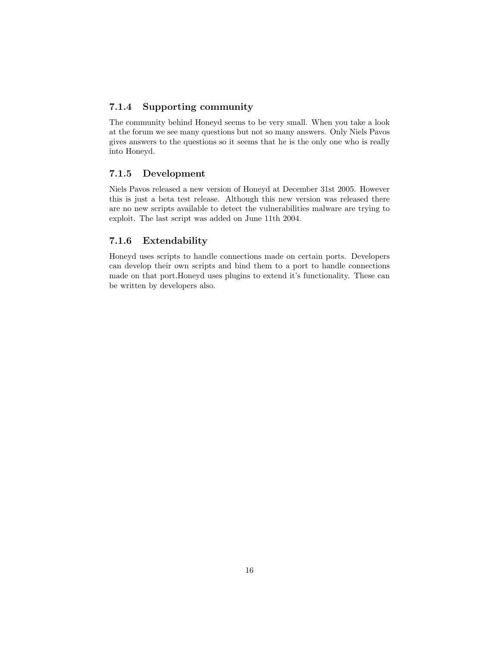#### <span id="page-16-0"></span>7.1.4 Supporting community

The community behind Honeyd seems to be very small. When you take a look at the forum we see many questions but not so many answers. Only Niels Pavos gives answers to the questions so it seems that he is the only one who is really into Honeyd.

#### <span id="page-16-1"></span>7.1.5 Development

Niels Pavos released a new version of Honeyd at December 31st 2005. However this is just a beta test release. Although this new version was released there are no new scripts available to detect the vulnerabilities malware are trying to exploit. The last script was added on June 11th 2004.

#### <span id="page-16-2"></span>7.1.6 Extendability

Honeyd uses scripts to handle connections made on certain ports. Developers can develop their own scripts and bind them to a port to handle connections made on that port.Honeyd uses plugins to extend it's functionality. These can be written by developers also.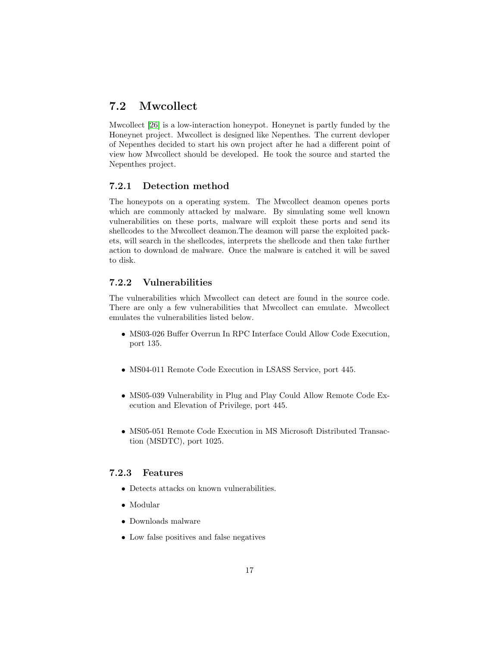## <span id="page-17-0"></span>7.2 Mwcollect

Mwcollect [\[26\]](#page-31-0) is a low-interaction honeypot. Honeynet is partly funded by the Honeynet project. Mwcollect is designed like Nepenthes. The current devloper of Nepenthes decided to start his own project after he had a different point of view how Mwcollect should be developed. He took the source and started the Nepenthes project.

#### <span id="page-17-1"></span>7.2.1 Detection method

The honeypots on a operating system. The Mwcollect deamon openes ports which are commonly attacked by malware. By simulating some well known vulnerabilities on these ports, malware will exploit these ports and send its shellcodes to the Mwcollect deamon.The deamon will parse the exploited packets, will search in the shellcodes, interprets the shellcode and then take further action to download de malware. Once the malware is catched it will be saved to disk.

#### <span id="page-17-2"></span>7.2.2 Vulnerabilities

The vulnerabilities which Mwcollect can detect are found in the source code. There are only a few vulnerabilities that Mwcollect can emulate. Mwcollect emulates the vulnerabilities listed below.

- MS03-026 Buffer Overrun In RPC Interface Could Allow Code Execution, port 135.
- MS04-011 Remote Code Execution in LSASS Service, port 445.
- MS05-039 Vulnerability in Plug and Play Could Allow Remote Code Execution and Elevation of Privilege, port 445.
- MS05-051 Remote Code Execution in MS Microsoft Distributed Transaction (MSDTC), port 1025.

#### <span id="page-17-3"></span>7.2.3 Features

- Detects attacks on known vulnerabilities.
- Modular
- Downloads malware
- Low false positives and false negatives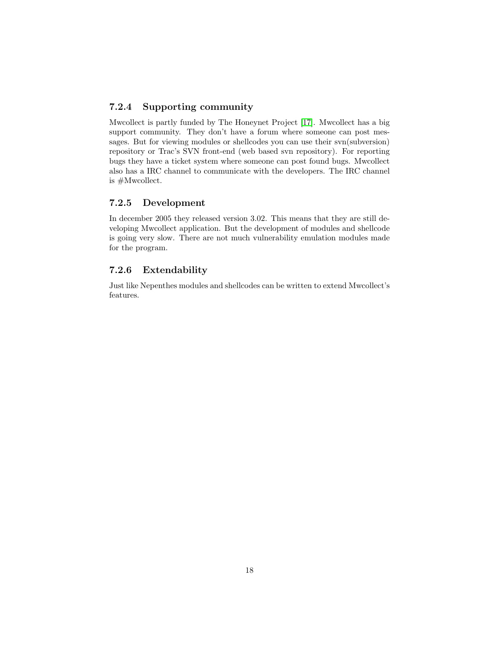#### <span id="page-18-0"></span>7.2.4 Supporting community

Mwcollect is partly funded by The Honeynet Project [\[17\]](#page-30-14). Mwcollect has a big support community. They don't have a forum where someone can post messages. But for viewing modules or shellcodes you can use their svn(subversion) repository or Trac's SVN front-end (web based svn repository). For reporting bugs they have a ticket system where someone can post found bugs. Mwcollect also has a IRC channel to communicate with the developers. The IRC channel is #Mwcollect.

#### <span id="page-18-1"></span>7.2.5 Development

In december 2005 they released version 3.02. This means that they are still developing Mwcollect application. But the development of modules and shellcode is going very slow. There are not much vulnerability emulation modules made for the program.

#### <span id="page-18-2"></span>7.2.6 Extendability

Just like Nepenthes modules and shellcodes can be written to extend Mwcollect's features.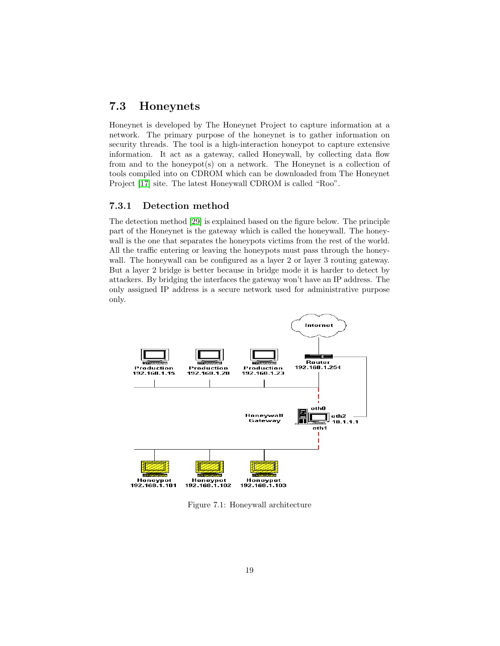### <span id="page-19-0"></span>7.3 Honeynets

Honeynet is developed by The Honeynet Project to capture information at a network. The primary purpose of the honeynet is to gather information on security threads. The tool is a high-interaction honeypot to capture extensive information. It act as a gateway, called Honeywall, by collecting data flow from and to the honeypot(s) on a network. The Honeynet is a collection of tools compiled into on CDROM which can be downloaded from The Honeynet Project [\[17\]](#page-30-14) site. The latest Honeywall CDROM is called "Roo".

#### <span id="page-19-1"></span>7.3.1 Detection method

The detection method [\[29\]](#page-31-1) is explained based on the figure below. The principle part of the Honeynet is the gateway which is called the honeywall. The honeywall is the one that separates the honeypots victims from the rest of the world. All the traffic entering or leaving the honeypots must pass through the honeywall. The honeywall can be configured as a layer 2 or layer 3 routing gateway. But a layer 2 bridge is better because in bridge mode it is harder to detect by attackers. By bridging the interfaces the gateway won't have an IP address. The only assigned IP address is a secure network used for administrative purpose only.



Figure 7.1: Honeywall architecture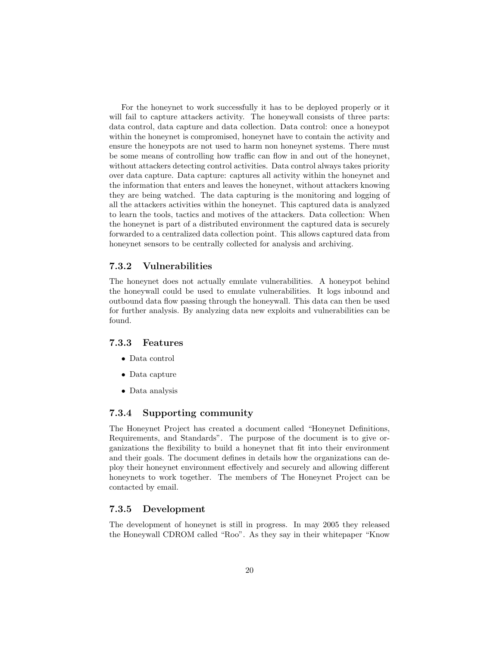For the honeynet to work successfully it has to be deployed properly or it will fail to capture attackers activity. The honeywall consists of three parts: data control, data capture and data collection. Data control: once a honeypot within the honeynet is compromised, honeynet have to contain the activity and ensure the honeypots are not used to harm non honeynet systems. There must be some means of controlling how traffic can flow in and out of the honeynet, without attackers detecting control activities. Data control always takes priority over data capture. Data capture: captures all activity within the honeynet and the information that enters and leaves the honeynet, without attackers knowing they are being watched. The data capturing is the monitoring and logging of all the attackers activities within the honeynet. This captured data is analyzed to learn the tools, tactics and motives of the attackers. Data collection: When the honeynet is part of a distributed environment the captured data is securely forwarded to a centralized data collection point. This allows captured data from honeynet sensors to be centrally collected for analysis and archiving.

#### <span id="page-20-0"></span>7.3.2 Vulnerabilities

The honeynet does not actually emulate vulnerabilities. A honeypot behind the honeywall could be used to emulate vulnerabilities. It logs inbound and outbound data flow passing through the honeywall. This data can then be used for further analysis. By analyzing data new exploits and vulnerabilities can be found.

#### <span id="page-20-1"></span>7.3.3 Features

- Data control
- Data capture
- Data analysis

#### <span id="page-20-2"></span>7.3.4 Supporting community

The Honeynet Project has created a document called "Honeynet Definitions, Requirements, and Standards". The purpose of the document is to give organizations the flexibility to build a honeynet that fit into their environment and their goals. The document defines in details how the organizations can deploy their honeynet environment effectively and securely and allowing different honeynets to work together. The members of The Honeynet Project can be contacted by email.

#### <span id="page-20-3"></span>7.3.5 Development

The development of honeynet is still in progress. In may 2005 they released the Honeywall CDROM called "Roo". As they say in their whitepaper "Know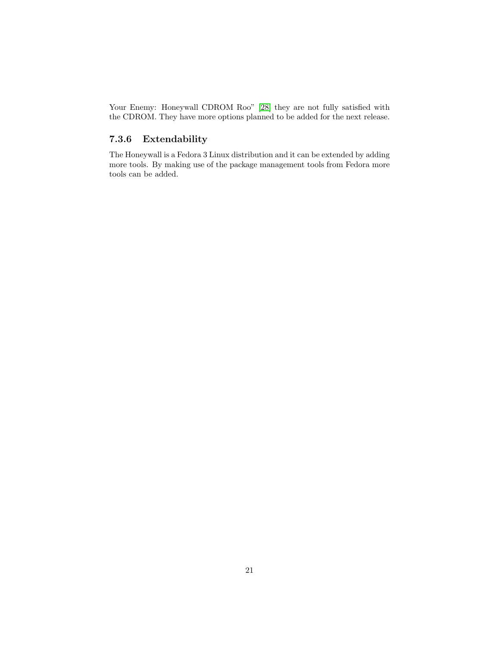Your Enemy: Honeywall CDROM Roo" [\[28\]](#page-31-2) they are not fully satisfied with the CDROM. They have more options planned to be added for the next release.

### <span id="page-21-0"></span>7.3.6 Extendability

The Honeywall is a Fedora 3 Linux distribution and it can be extended by adding more tools. By making use of the package management tools from Fedora more tools can be added.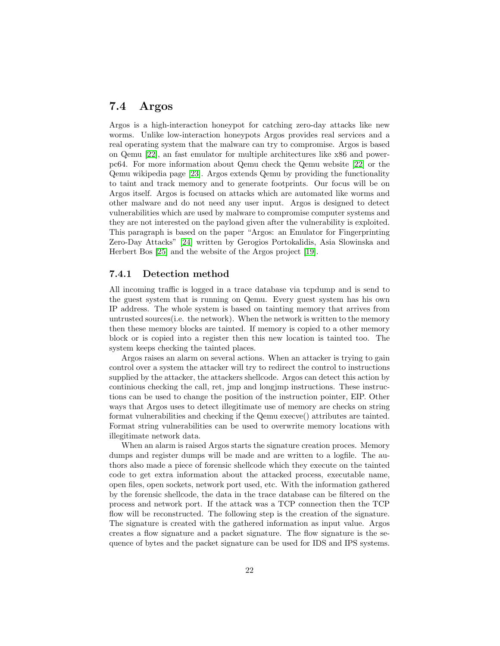### <span id="page-22-0"></span>7.4 Argos

Argos is a high-interaction honeypot for catching zero-day attacks like new worms. Unlike low-interaction honeypots Argos provides real services and a real operating system that the malware can try to compromise. Argos is based on Qemu [\[22\]](#page-31-3), an fast emulator for multiple architectures like x86 and powerpc64. For more information about Qemu check the Qemu website [\[22\]](#page-31-3) or the Qemu wikipedia page [\[23\]](#page-31-4). Argos extends Qemu by providing the functionality to taint and track memory and to generate footprints. Our focus will be on Argos itself. Argos is focused on attacks which are automated like worms and other malware and do not need any user input. Argos is designed to detect vulnerabilities which are used by malware to compromise computer systems and they are not interested on the payload given after the vulnerability is exploited. This paragraph is based on the paper "Argos: an Emulator for Fingerprinting Zero-Day Attacks" [\[24\]](#page-31-5) written by Gerogios Portokalidis, Asia Slowinska and Herbert Bos [\[25\]](#page-31-6) and the website of the Argos project [\[19\]](#page-31-7).

#### <span id="page-22-1"></span>7.4.1 Detection method

All incoming traffic is logged in a trace database via tcpdump and is send to the guest system that is running on Qemu. Every guest system has his own IP address. The whole system is based on tainting memory that arrives from untrusted sources(i.e. the network). When the network is written to the memory then these memory blocks are tainted. If memory is copied to a other memory block or is copied into a register then this new location is tainted too. The system keeps checking the tainted places.

Argos raises an alarm on several actions. When an attacker is trying to gain control over a system the attacker will try to redirect the control to instructions supplied by the attacker, the attackers shellcode. Argos can detect this action by continious checking the call, ret, jmp and longjmp instructions. These instructions can be used to change the position of the instruction pointer, EIP. Other ways that Argos uses to detect illegitimate use of memory are checks on string format vulnerabilities and checking if the Qemu execve() attributes are tainted. Format string vulnerabilities can be used to overwrite memory locations with illegitimate network data.

When an alarm is raised Argos starts the signature creation proces. Memory dumps and register dumps will be made and are written to a logfile. The authors also made a piece of forensic shellcode which they execute on the tainted code to get extra information about the attacked process, executable name, open files, open sockets, network port used, etc. With the information gathered by the forensic shellcode, the data in the trace database can be filtered on the process and network port. If the attack was a TCP connection then the TCP flow will be reconstructed. The following step is the creation of the signature. The signature is created with the gathered information as input value. Argos creates a flow signature and a packet signature. The flow signature is the sequence of bytes and the packet signature can be used for IDS and IPS systems.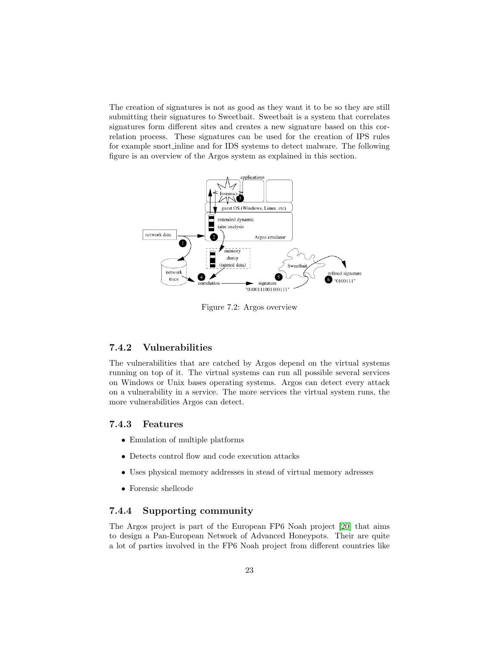The creation of signatures is not as good as they want it to be so they are still submitting their signatures to Sweetbait. Sweetbait is a system that correlates signatures form different sites and creates a new signature based on this correlation process. These signatures can be used for the creation of IPS rules for example snort inline and for IDS systems to detect malware. The following figure is an overview of the Argos system as explained in this section.



Figure 7.2: Argos overview

#### <span id="page-23-0"></span>7.4.2 Vulnerabilities

The vulnerabilities that are catched by Argos depend on the virtual systems running on top of it. The virtual systems can run all possible several services on Windows or Unix bases operating systems. Argos can detect every attack on a vulnerability in a service. The more services the virtual system runs, the more vulnerabilities Argos can detect.

#### <span id="page-23-1"></span>7.4.3 Features

- Emulation of multiple platforms
- Detects control flow and code execution attacks
- Uses physical memory addresses in stead of virtual memory adresses
- Forensic shellcode

#### <span id="page-23-2"></span>7.4.4 Supporting community

The Argos project is part of the European FP6 Noah project [\[20\]](#page-31-8) that aims to design a Pan-European Network of Advanced Honeypots. Their are quite a lot of parties involved in the FP6 Noah project from different countries like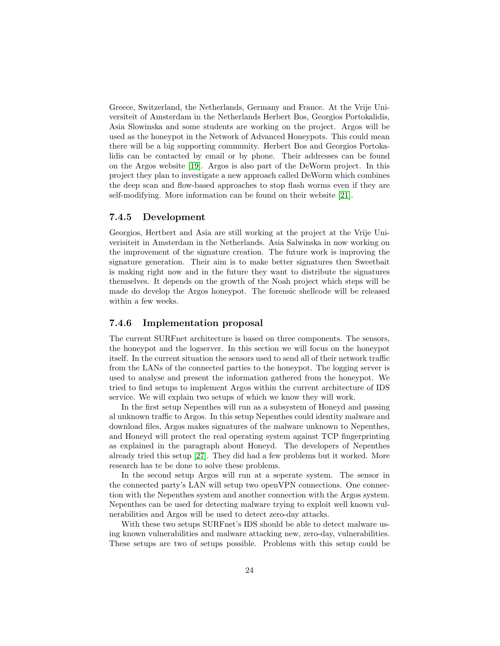Greece, Switzerland, the Netherlands, Germany and France. At the Vrije Universiteit of Amsterdam in the Netherlands Herbert Bos, Georgios Portokalidis, Asia Slowinska and some students are working on the project. Argos will be used as the honeypot in the Network of Advanced Honeypots. This could mean there will be a big supporting community. Herbert Bos and Georgios Portokalidis can be contacted by email or by phone. Their addresses can be found on the Argos website [\[19\]](#page-31-7). Argos is also part of the DeWorm project. In this project they plan to investigate a new approach called DeWorm which combines the deep scan and flow-based approaches to stop flash worms even if they are self-modifying. More information can be found on their website [\[21\]](#page-31-9).

#### <span id="page-24-0"></span>7.4.5 Development

Georgios, Hertbert and Asia are still working at the project at the Vrije Univerisiteit in Amsterdam in the Netherlands. Asia Salwinska in now working on the improvement of the signature creation. The future work is improving the signature generation. Their aim is to make better signatures then Sweetbait is making right now and in the future they want to distribute the signatures themselves. It depends on the growth of the Noah project which steps will be made do develop the Argos honeypot. The forensic shellcode will be released within a few weeks.

#### <span id="page-24-1"></span>7.4.6 Implementation proposal

The current SURFnet architecture is based on three components. The sensors, the honeypot and the logserver. In this section we will focus on the honeypot itself. In the current situation the sensors used to send all of their network traffic from the LANs of the connected parties to the honeypot. The logging server is used to analyse and present the information gathered from the honeypot. We tried to find setups to implement Argos within the current architecture of IDS service. We will explain two setups of which we know they will work.

In the first setup Nepenthes will run as a subsystem of Honeyd and passing al unknown traffic to Argos. In this setup Nepenthes could identity malware and download files, Argos makes signatures of the malware unknown to Nepenthes, and Honeyd will protect the real operating system against TCP fingerprinting as explained in the paragraph about Honeyd. The developers of Nepenthes already tried this setup [\[27\]](#page-31-10). They did had a few problems but it worked. More research has te be done to solve these problems.

In the second setup Argos will run at a seperate system. The sensor in the connected party's LAN will setup two openVPN connections. One connection with the Nepenthes system and another connection with the Argos system. Nepenthes can be used for detecting malware trying to exploit well known vulnerabilities and Argos will be used to detect zero-day attacks.

With these two setups SURFnet's IDS should be able to detect malware using known vulnerabilities and malware attacking new, zero-day, vulnerabilities. These setups are two of setups possible. Problems with this setup could be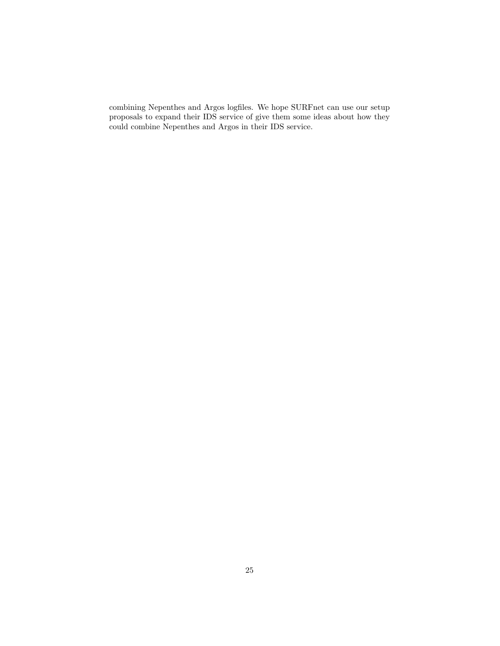combining Nepenthes and Argos logfiles. We hope SURFnet can use our setup proposals to expand their IDS service of give them some ideas about how they could combine Nepenthes and Argos in their IDS service.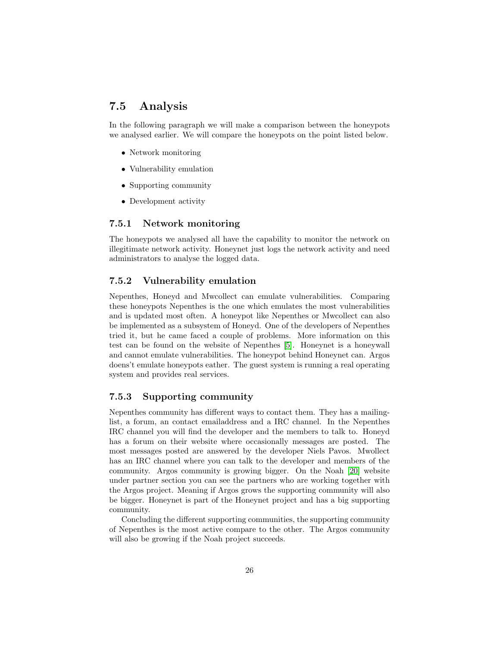### <span id="page-26-0"></span>7.5 Analysis

In the following paragraph we will make a comparison between the honeypots we analysed earlier. We will compare the honeypots on the point listed below.

- Network monitoring
- Vulnerability emulation
- Supporting community
- Development activity

#### <span id="page-26-1"></span>7.5.1 Network monitoring

The honeypots we analysed all have the capability to monitor the network on illegitimate network activity. Honeynet just logs the network activity and need administrators to analyse the logged data.

#### <span id="page-26-2"></span>7.5.2 Vulnerability emulation

Nepenthes, Honeyd and Mwcollect can emulate vulnerabilities. Comparing these honeypots Nepenthes is the one which emulates the most vulnerabilities and is updated most often. A honeypot like Nepenthes or Mwcollect can also be implemented as a subsystem of Honeyd. One of the developers of Nepenthes tried it, but he came faced a couple of problems. More information on this test can be found on the website of Nepenthes [\[5\]](#page-30-6). Honeynet is a honeywall and cannot emulate vulnerabilities. The honeypot behind Honeynet can. Argos doens't emulate honeypots eather. The guest system is running a real operating system and provides real services.

#### <span id="page-26-3"></span>7.5.3 Supporting community

Nepenthes community has different ways to contact them. They has a mailinglist, a forum, an contact emailaddress and a IRC channel. In the Nepenthes IRC channel you will find the developer and the members to talk to. Honeyd has a forum on their website where occasionally messages are posted. The most messages posted are answered by the developer Niels Pavos. Mwollect has an IRC channel where you can talk to the developer and members of the community. Argos community is growing bigger. On the Noah [\[20\]](#page-31-8) website under partner section you can see the partners who are working together with the Argos project. Meaning if Argos grows the supporting community will also be bigger. Honeynet is part of the Honeynet project and has a big supporting community.

Concluding the different supporting communities, the supporting community of Nepenthes is the most active compare to the other. The Argos community will also be growing if the Noah project succeeds.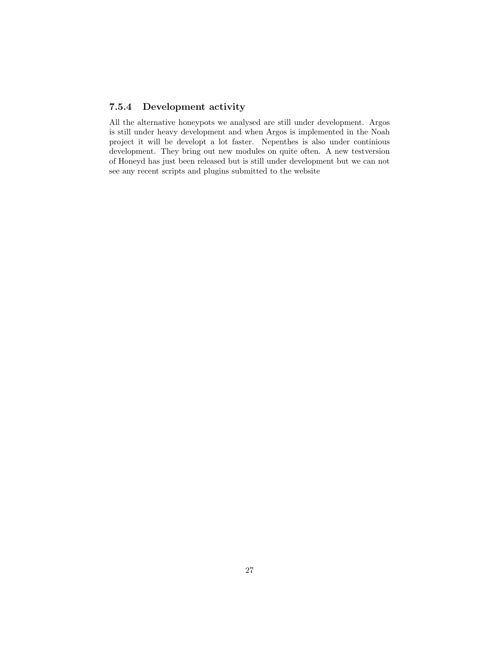#### <span id="page-27-0"></span>7.5.4 Development activity

All the alternative honeypots we analysed are still under development. Argos is still under heavy development and when Argos is implemented in the Noah project it will be developt a lot faster. Nepenthes is also under continious development. They bring out new modules on quite often. A new testversion of Honeyd has just been released but is still under development but we can not see any recent scripts and plugins submitted to the website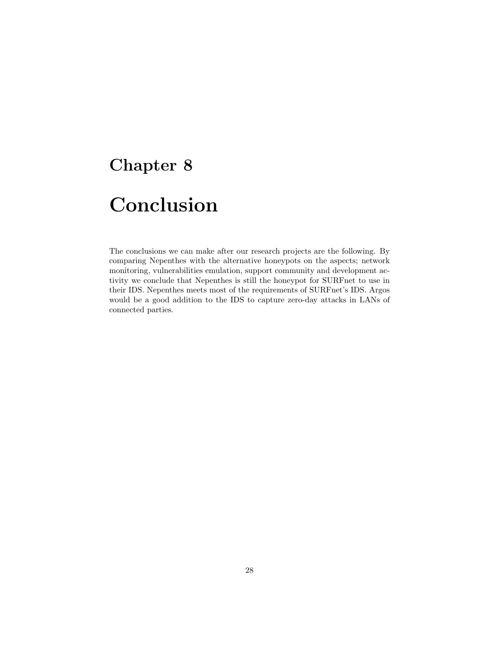# <span id="page-28-0"></span>Conclusion

The conclusions we can make after our research projects are the following. By comparing Nepenthes with the alternative honeypots on the aspects; network monitoring, vulnerabilities emulation, support community and development activity we conclude that Nepenthes is still the honeypot for SURFnet to use in their IDS. Nepenthes meets most of the requirements of SURFnet's IDS. Argos would be a good addition to the IDS to capture zero-day attacks in LANs of connected parties.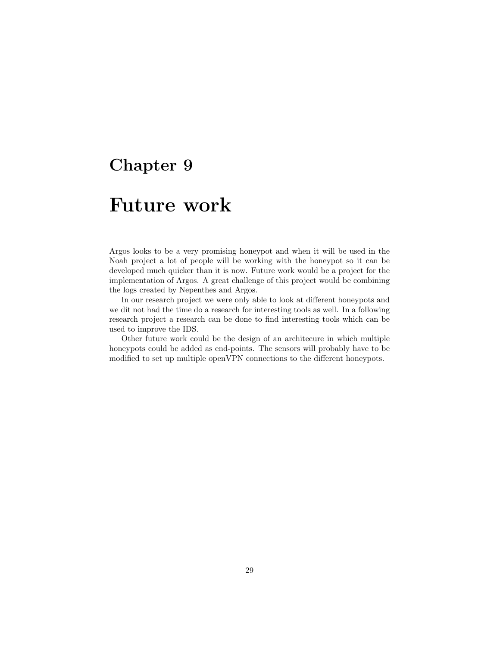# <span id="page-29-0"></span>Future work

Argos looks to be a very promising honeypot and when it will be used in the Noah project a lot of people will be working with the honeypot so it can be developed much quicker than it is now. Future work would be a project for the implementation of Argos. A great challenge of this project would be combining the logs created by Nepenthes and Argos.

In our research project we were only able to look at different honeypots and we dit not had the time do a research for interesting tools as well. In a following research project a research can be done to find interesting tools which can be used to improve the IDS.

Other future work could be the design of an architecure in which multiple honeypots could be added as end-points. The sensors will probably have to be modified to set up multiple openVPN connections to the different honeypots.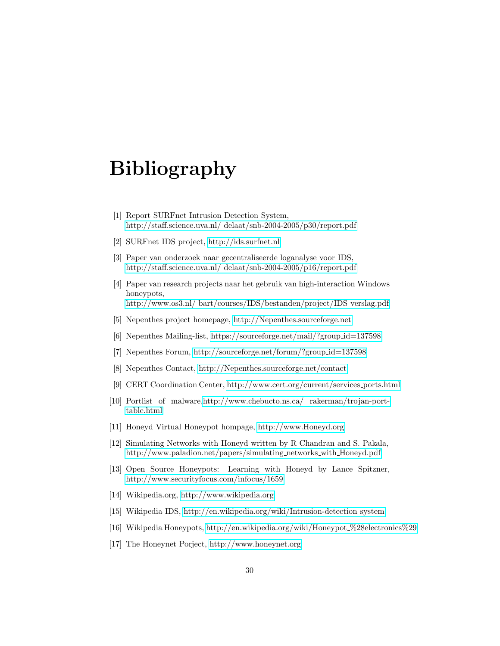# Bibliography

- <span id="page-30-0"></span>[1] Report SURFnet Intrusion Detection System, [http://staff.science.uva.nl/ delaat/snb-2004-2005/p30/report.pdf](http://staff.science.uva.nl/~delaat/snb-2004-2005/p30/report.pdf)
- <span id="page-30-5"></span>[2] SURFnet IDS project,<http://ids.surfnet.nl>
- <span id="page-30-1"></span>[3] Paper van onderzoek naar gecentraliseerde loganalyse voor IDS, [http://staff.science.uva.nl/ delaat/snb-2004-2005/p16/report.pdf](http://staff.science.uva.nl/~delaat/snb-2004-2005/p16/report.pdf)
- <span id="page-30-2"></span>[4] Paper van research projects naar het gebruik van high-interaction Windows honeypots,
- [http://www.os3.nl/ bart/courses/IDS/bestanden/project/IDS](http://www.os3.nl/~bart/courses/IDS/bestanden/project/IDS_verslag.pdf) verslag.pdf
- <span id="page-30-6"></span>[5] Nepenthes project homepage,<http://Nepenthes.sourceforge.net>
- <span id="page-30-8"></span>[6] Nepenthes Mailing-list, [https://sourceforge.net/mail/?group](https://sourceforge.net/mail/?group_id=137598) id=137598
- <span id="page-30-9"></span>[7] Nepenthes Forum, [http://sourceforge.net/forum/?group](http://sourceforge.net/forum/?group_id=137598) id=137598
- <span id="page-30-10"></span>[8] Nepenthes Contact,<http://Nepenthes.sourceforge.net/contact>
- <span id="page-30-7"></span>[9] CERT Coordination Center, [http://www.cert.org/current/services](http://www.cert.org/current/services_ports.html) ports.html
- [10] Portlist of malware[,http://www.chebucto.ns.ca/ rakerman/trojan-port](http://www.chebucto.ns.ca/~rakerman/trojan-port-table.html)[table.html](http://www.chebucto.ns.ca/~rakerman/trojan-port-table.html)
- <span id="page-30-11"></span>[11] Honeyd Virtual Honeypot hompage,<http://www.Honeyd.org>
- <span id="page-30-12"></span>[12] Simulating Networks with Honeyd written by R Chandran and S. Pakala, [http://www.paladion.net/papers/simulating](http://www.paladion.net/papers/simulating_networks_with_Honeyd.pdf) networks with Honeyd.pdf
- <span id="page-30-13"></span>[13] Open Source Honeypots: Learning with Honeyd by Lance Spitzner, <http://www.securityfocus.com/infocus/1659>
- [14] Wikipedia.org,<http://www.wikipedia.org>
- <span id="page-30-3"></span>[15] Wikipedia IDS, [http://en.wikipedia.org/wiki/Intrusion-detection](http://en.wikipedia.org/wiki/Intrusion-detection_system) system
- <span id="page-30-4"></span>[16] Wikipedia Honeypots, [http://en.wikipedia.org/wiki/Honeypot](http://en.wikipedia.org/wiki/Honeypot_%28electronics%29) %28electronics%29
- <span id="page-30-14"></span>[17] The Honeynet Porject,<http://www.honeynet.org>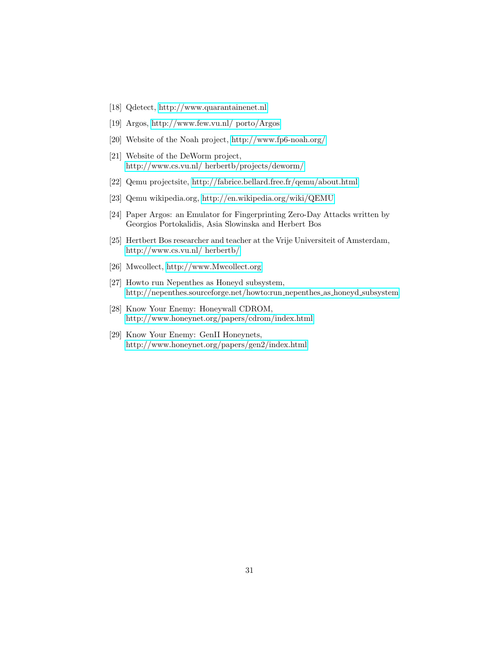- [18] Qdetect,<http://www.quarantainenet.nl>
- <span id="page-31-7"></span>[19] Argos, [http://www.few.vu.nl/ porto/Argos](http://www.few.vu.nl/~porto/Argos)
- <span id="page-31-8"></span>[20] Website of the Noah project,<http://www.fp6-noah.org/>
- <span id="page-31-9"></span>[21] Website of the DeWorm project, [http://www.cs.vu.nl/ herbertb/projects/deworm/](http://www.cs.vu.nl/~herbertb/projects/deworm/)
- <span id="page-31-3"></span>[22] Qemu projectsite,<http://fabrice.bellard.free.fr/qemu/about.html>
- <span id="page-31-4"></span>[23] Qemu wikipedia.org,<http://en.wikipedia.org/wiki/QEMU>
- <span id="page-31-5"></span>[24] Paper Argos: an Emulator for Fingerprinting Zero-Day Attacks written by Georgios Portokalidis, Asia Slowinska and Herbert Bos
- <span id="page-31-6"></span>[25] Hertbert Bos researcher and teacher at the Vrije Universiteit of Amsterdam, [http://www.cs.vu.nl/ herbertb/](http://www.cs.vu.nl/~herbertb/)
- <span id="page-31-0"></span>[26] Mwcollect,<http://www.Mwcollect.org>
- <span id="page-31-10"></span>[27] Howto run Nepenthes as Honeyd subsystem, [http://nepenthes.sourceforge.net/howto:run](http://nepenthes.sourceforge.net/howto:run_nepenthes_as_honeyd_subsystem) nepenthes as honeyd subsystem
- <span id="page-31-2"></span>[28] Know Your Enemy: Honeywall CDROM, <http://www.honeynet.org/papers/cdrom/index.html>
- <span id="page-31-1"></span>[29] Know Your Enemy: GenII Honeynets, <http://www.honeynet.org/papers/gen2/index.html>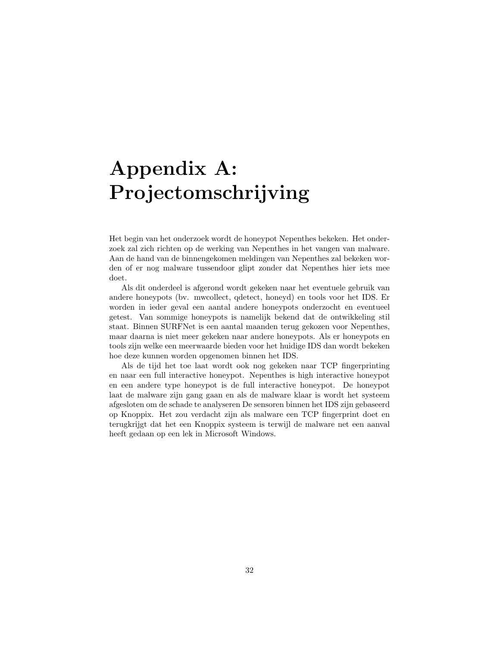# Appendix A: Projectomschrijving

<span id="page-32-0"></span>Het begin van het onderzoek wordt de honeypot Nepenthes bekeken. Het onderzoek zal zich richten op de werking van Nepenthes in het vangen van malware. Aan de hand van de binnengekomen meldingen van Nepenthes zal bekeken worden of er nog malware tussendoor glipt zonder dat Nepenthes hier iets mee doet.

Als dit onderdeel is afgerond wordt gekeken naar het eventuele gebruik van andere honeypots (bv. mwcollect, qdetect, honeyd) en tools voor het IDS. Er worden in ieder geval een aantal andere honeypots onderzocht en eventueel getest. Van sommige honeypots is namelijk bekend dat de ontwikkeling stil staat. Binnen SURFNet is een aantal maanden terug gekozen voor Nepenthes, maar daarna is niet meer gekeken naar andere honeypots. Als er honeypots en tools zijn welke een meerwaarde bieden voor het huidige IDS dan wordt bekeken hoe deze kunnen worden opgenomen binnen het IDS.

Als de tijd het toe laat wordt ook nog gekeken naar TCP fingerprinting en naar een full interactive honeypot. Nepenthes is high interactive honeypot en een andere type honeypot is de full interactive honeypot. De honeypot laat de malware zijn gang gaan en als de malware klaar is wordt het systeem afgesloten om de schade te analyseren De sensoren binnen het IDS zijn gebaseerd op Knoppix. Het zou verdacht zijn als malware een TCP fingerprint doet en terugkrijgt dat het een Knoppix systeem is terwijl de malware net een aanval heeft gedaan op een lek in Microsoft Windows.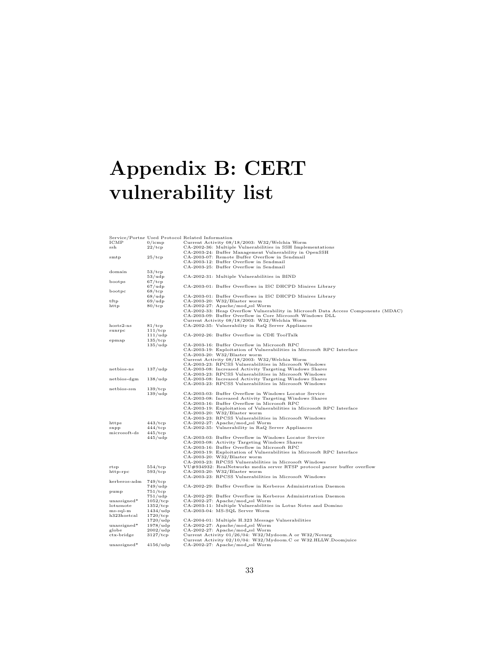# Appendix B: CERT vulnerability list

<span id="page-33-0"></span>

|              |                     | Service/Portnr Used Protocol Related Information                                   |
|--------------|---------------------|------------------------------------------------------------------------------------|
| ICMP         | $0/$ icmp           | Current Activity 08/18/2003: W32/Welchia Worm                                      |
| ssh          | $22/\text{tcp}$     | CA-2002-36: Multiple Vulnerabilities in SSH Implementations                        |
|              |                     | CA-2003-24: Buffer Management Vulnerability in OpenSSH                             |
| smtp         | $25/\text{top}$     | CA-2003-07: Remote Buffer Overflow in Sendmail                                     |
|              |                     | CA-2003-12: Buffer Overflow in Sendmail                                            |
|              |                     | CA-2003-25: Buffer Overflow in Sendmail                                            |
| domain       | $53/\text{tcp}$     |                                                                                    |
|              | 53/udp              | CA-2002-31: Multiple Vulnerabilities in BIND                                       |
| bootps       | $67/\mathrm{tcp}$   |                                                                                    |
|              | 67/udp              | CA-2003-01: Buffer Overflows in ISC DHCPD Minires Library                          |
| bootpc       | $68/\text{tcp}$     |                                                                                    |
|              | $68/\mu dp$         | CA-2003-01: Buffer Overflows in ISC DHCPD Minires Library                          |
| tftp         | 69/udp              | CA-2003-20: W32/Blaster worm                                                       |
| http         | $80/\text{tcp}$     | CA-2002-27: Apache/mod_ssl Worm                                                    |
|              |                     | CA-2002-33: Heap Overflow Vulnerability in Microsoft Data Access Components (MDAC) |
|              |                     | CA-2003-09: Buffer Overflow in Core Microsoft Windows DLL                          |
|              |                     | Current Activity 08/18/2003: W32/Welchia Worm                                      |
| $hosts2-ns$  | 81/tcp              | CA-2002-35: Vulnerability in RaQ Server Appliances                                 |
| sunrpc       | $111/$ tcp          |                                                                                    |
|              | 111/udp             | CA-2002-26: Buffer Overflow in CDE ToolTalk                                        |
| epmap        | $135/\text{tcp}$    |                                                                                    |
|              | $135/\mathrm{udp}$  | CA-2003-16: Buffer Overflow in Microsoft RPC                                       |
|              |                     | CA-2003-19: Exploitation of Vulnerabilities in Microsoft RPC Interface             |
|              |                     | CA-2003-20: W32/Blaster worm                                                       |
|              |                     | Current Activity 08/18/2003: W32/Welchia Worm                                      |
|              |                     | CA-2003-23: RPCSS Vulnerabilities in Microsoft Windows                             |
| netbios-ns   | $137/\mu dp$        | CA-2003-08: Increased Activity Targeting Windows Shares                            |
|              |                     | CA-2003-23: RPCSS Vulnerabilities in Microsoft Windows                             |
| netbios-dgm  | $138/\text{udp}$    | CA-2003-08: Increased Activity Targeting Windows Shares                            |
|              |                     | CA-2003-23: RPCSS Vulnerabilities in Microsoft Windows                             |
| netbios-ssn  | $139/$ tcp          |                                                                                    |
|              | 139/udp             | CA-2003-03: Buffer Overflow in Windows Locator Service                             |
|              |                     | CA-2003-08: Increased Activity Targeting Windows Shares                            |
|              |                     | CA-2003-16: Buffer Overflow in Microsoft RPC                                       |
|              |                     | CA-2003-19: Exploitation of Vulnerabilities in Microsoft RPC Interface             |
|              |                     | CA-2003-20: W32/Blaster worm                                                       |
|              |                     | CA-2003-23: RPCSS Vulnerabilities in Microsoft Windows                             |
| https        | $443/\text{tcp}$    | CA-2002-27: Apache/mod_ssl Worm                                                    |
| snpp         | $444/\text{tcp}$    | CA-2002-35: Vulnerability in RaQ Server Appliances                                 |
| microsoft-ds | $445/\text{tcp}$    |                                                                                    |
|              | $445/\mathrm{udp}$  | CA-2003-03: Buffer Overflow in Windows Locator Service                             |
|              |                     | CA-2003-08: Activity Targeting Windows Shares                                      |
|              |                     | CA-2003-16: Buffer Overflow in Microsoft RPC                                       |
|              |                     | CA-2003-19: Exploitation of Vulnerabilities in Microsoft RPC Interface             |
|              |                     | CA-2003-20: W32/Blaster worm                                                       |
|              |                     | CA-2003-23: RPCSS Vulnerabilities in Microsoft Windows                             |
| rtsp         | $554/\text{tcp}$    | VU#934932: RealNetworks media server RTSP protocol parser buffer overflow          |
| http-rpc     | $593/$ tcp          | CA-2003-20: W32/Blaster worm                                                       |
|              |                     | CA-2003-23: RPCSS Vulnerabilities in Microsoft Windows                             |
| kerberos-adm | $749/\text{tcp}$    |                                                                                    |
|              | $749/\mathrm{udp}$  | CA-2002-29: Buffer Overflow in Kerberos Administration Daemon                      |
| pump         | $751/\text{tcp}$    |                                                                                    |
|              | $751/\mathrm{udp}$  | CA-2002-29: Buffer Overflow in Kerberos Administration Daemon                      |
| unassigned*  | $1052/\text{tcp}$   | CA-2002-27: Apache/mod_ssl Worm                                                    |
| lotusnote    | $1352/\text{tcp}$   | CA-2003-11: Multiple Vulnerabilities in Lotus Notes and Domino                     |
| $ms-sql-m$   | $1434/\text{udp}$   | CA-2003-04: MS-SQL Server Worm                                                     |
| h323hostcal  | $1720/\text{top}$   |                                                                                    |
|              | $1720/\text{udp}$   | CA-2004-01: Multiple H.323 Message Vulnerabilities                                 |
| unassigned*  | $1978/\text{udp}$   | CA-2002-27: Apache/mod_ssl Worm                                                    |
| globe        | $2002/\mathrm{udp}$ | CA-2002-27: Apache/mod_ssl Worm                                                    |
| ctx-bridge   | $3127/\text{top}$   | Current Activity 01/26/04: W32/Mydoom.A or W32/Novarg                              |
|              |                     | Current Activity 02/10/04: W32/Mydoom.C or W32.HLLW.Doomjuice                      |
| unassigned*  | $4156/\mathrm{udp}$ | CA-2002-27: Apache/mod_ssl Worm                                                    |